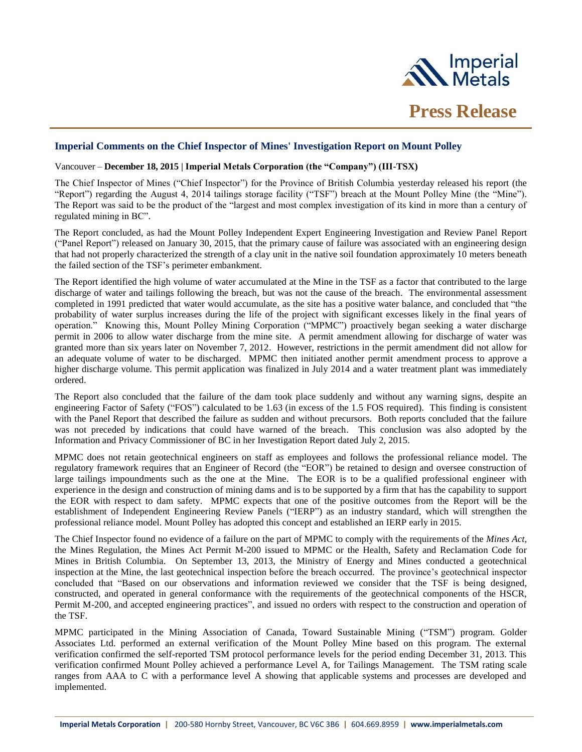

## **Imperial Comments on the Chief Inspector of Mines' Investigation Report on Mount Polley**

## Vancouver – **December 18, 2015 | Imperial Metals Corporation (the "Company") (III-TSX)**

The Chief Inspector of Mines ("Chief Inspector") for the Province of British Columbia yesterday released his report (the "Report") regarding the August 4, 2014 tailings storage facility ("TSF") breach at the Mount Polley Mine (the "Mine"). The Report was said to be the product of the "largest and most complex investigation of its kind in more than a century of regulated mining in BC".

The Report concluded, as had the Mount Polley Independent Expert Engineering Investigation and Review Panel Report ("Panel Report") released on January 30, 2015, that the primary cause of failure was associated with an engineering design that had not properly characterized the strength of a clay unit in the native soil foundation approximately 10 meters beneath the failed section of the TSF's perimeter embankment.

The Report identified the high volume of water accumulated at the Mine in the TSF as a factor that contributed to the large discharge of water and tailings following the breach, but was not the cause of the breach. The environmental assessment completed in 1991 predicted that water would accumulate, as the site has a positive water balance, and concluded that "the probability of water surplus increases during the life of the project with significant excesses likely in the final years of operation." Knowing this, Mount Polley Mining Corporation ("MPMC") proactively began seeking a water discharge permit in 2006 to allow water discharge from the mine site. A permit amendment allowing for discharge of water was granted more than six years later on November 7, 2012. However, restrictions in the permit amendment did not allow for an adequate volume of water to be discharged. MPMC then initiated another permit amendment process to approve a higher discharge volume. This permit application was finalized in July 2014 and a water treatment plant was immediately ordered.

The Report also concluded that the failure of the dam took place suddenly and without any warning signs, despite an engineering Factor of Safety ("FOS") calculated to be 1.63 (in excess of the 1.5 FOS required). This finding is consistent with the Panel Report that described the failure as sudden and without precursors. Both reports concluded that the failure was not preceded by indications that could have warned of the breach. This conclusion was also adopted by the Information and Privacy Commissioner of BC in her Investigation Report dated July 2, 2015.

MPMC does not retain geotechnical engineers on staff as employees and follows the professional reliance model. The regulatory framework requires that an Engineer of Record (the "EOR") be retained to design and oversee construction of large tailings impoundments such as the one at the Mine. The EOR is to be a qualified professional engineer with experience in the design and construction of mining dams and is to be supported by a firm that has the capability to support the EOR with respect to dam safety. MPMC expects that one of the positive outcomes from the Report will be the establishment of Independent Engineering Review Panels ("IERP") as an industry standard, which will strengthen the professional reliance model. Mount Polley has adopted this concept and established an IERP early in 2015.

The Chief Inspector found no evidence of a failure on the part of MPMC to comply with the requirements of the *Mines Act*, the Mines Regulation, the Mines Act Permit M-200 issued to MPMC or the Health, Safety and Reclamation Code for Mines in British Columbia. On September 13, 2013, the Ministry of Energy and Mines conducted a geotechnical inspection at the Mine, the last geotechnical inspection before the breach occurred. The province's geotechnical inspector concluded that "Based on our observations and information reviewed we consider that the TSF is being designed, constructed, and operated in general conformance with the requirements of the geotechnical components of the HSCR, Permit M-200, and accepted engineering practices", and issued no orders with respect to the construction and operation of the TSF.

MPMC participated in the Mining Association of Canada, Toward Sustainable Mining ("TSM") program. Golder Associates Ltd. performed an external verification of the Mount Polley Mine based on this program. The external verification confirmed the self-reported TSM protocol performance levels for the period ending December 31, 2013. This verification confirmed Mount Polley achieved a performance Level A, for Tailings Management. The TSM rating scale ranges from AAA to C with a performance level A showing that applicable systems and processes are developed and implemented.